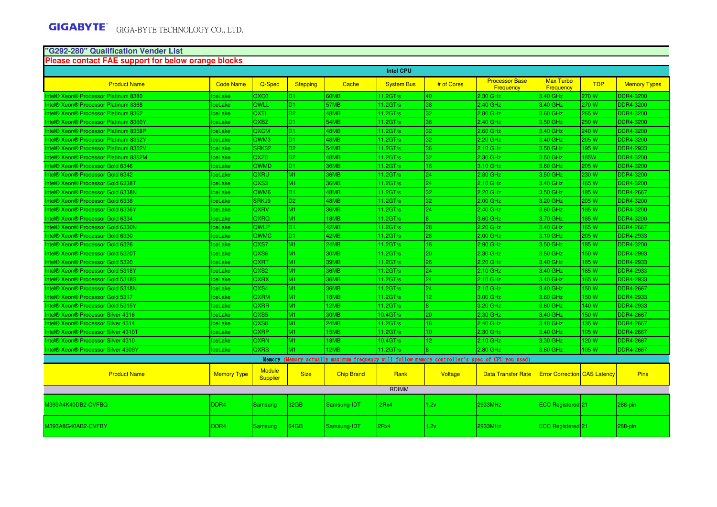### **"G292-280" Qualification Vender List**

#### **Please contact FAE support for below orange blocks**

|                                                          |                    |                                  |                 |                   | <b>Intel CPU</b>     |                 |                                                                                                 |                                     |            |                     |
|----------------------------------------------------------|--------------------|----------------------------------|-----------------|-------------------|----------------------|-----------------|-------------------------------------------------------------------------------------------------|-------------------------------------|------------|---------------------|
| <b>Product Name</b>                                      | <b>Code Name</b>   | Q-Spec                           | <b>Stepping</b> | Cache             | <b>System Bus</b>    | # of Cores      | <b>Processor Base</b><br><b>Frequency</b>                                                       | <b>Max Turbo</b><br>Frequency       | <b>TDP</b> | <b>Memory Types</b> |
| Intel® Xeon® Processor Platinum 8380                     | <b>IceLake</b>     | QXC0                             | D <sub>1</sub>  | 60MB              | $11.2$ GT/s          | 40              | 2.30 GHz                                                                                        | 3.40 GHz                            | 270 W      | <b>DDR4-3200</b>    |
| Intel® Xeon® Processor Platinum 8368                     | <b>IceLake</b>     | <b>OWLL</b>                      | D <sub>1</sub>  | 57MB              | 11.2GT/s             | 38              | 2.40 GHz                                                                                        | 3.40 GHz                            | 270 W      | <b>DDR4-3200</b>    |
| Intel® Xeon® Processor Platinum 8362                     | <b>IceLake</b>     | <b>QXTL</b>                      | D <sub>2</sub>  | 48MB              | 11.2GT/s             | 32              | 2.80 GHz                                                                                        | 3.60 GHz                            | 265 W      | <b>DDR4-3200</b>    |
| Intel® Xeon® Processor Platinum 8360Y                    | <b>IceLake</b>     | QXBZ                             | D <sub>1</sub>  | 54MB              | 11.2GT/s             | 36              | 2.40 GHz                                                                                        | 3.50 GHz                            | 250 W      | <b>DDR4-3200</b>    |
| Intel® Xeon® Processor Platinum 8358P                    | <b>IceLake</b>     | QXCM                             | D <sub>1</sub>  | 48MB              | 11.2GT/s             | 32              | 2.60 GHz                                                                                        | 3.40 GHz                            | 240 W      | <b>DDR4-3200</b>    |
| Intel® Xeon® Processor Platinum 8352Y                    | <b>IceLake</b>     | QWM3                             | D <sub>1</sub>  | 48MB              | 11.2GT/s             | 32              | 2.20 GHz                                                                                        | 3.40 GHz                            | 205 W      | <b>DDR4-3200</b>    |
| Intel® Xeon® Processor Platinum 8352V                    | <b>IceLake</b>     | <b>SRK32</b>                     | D <sub>2</sub>  | 54MB              | 11.2GT/s             | 36              | 2.10 GHz                                                                                        | 3.50 GHz                            | 195 W      | <b>DDR4-2933</b>    |
| Intel® Xeon® Processor Platinum 8352M                    | <b>IceLake</b>     | QXZ0                             | D <sub>2</sub>  | 48MB              | 11.2GT/s             | 32              | 2.30 GHz                                                                                        | 3.50 GHz                            | <b>85W</b> | <b>DDR4-3200</b>    |
| Intel® Xeon® Processor Gold 6346                         | <b>IceLake</b>     | QWMD                             | D <sub>1</sub>  | 36MB              | $11.2$ GT/s          | 16              | 3.10 GHz                                                                                        | 3.60 GHz                            | 205 W      | <b>DDR4-3200</b>    |
| Intel® Xeon® Processor Gold 6342                         | lceLake            | <b>QXRU</b>                      | M1              | 36MB              | 11.2GT/s             | 24              | 2.80 GHz                                                                                        | 3.50 GHz                            | 230 W      | <b>DDR4-3200</b>    |
| Intel® Xeon® Processor Gold 6338T                        | <b>IceLake</b>     | QXS3                             | M1              | 36MB              | 11.2GT/s             | 24              | 2.10 GHz                                                                                        | 3.40 GHz                            | 165 W      | <b>DDR4-3200</b>    |
| Intel® Xeon® Processor Gold 6338N                        | <b>IceLake</b>     | QWM <sub>6</sub>                 | D <sub>1</sub>  | 48MB              | 11.2GT/s             | 32              | 2.20 GHz                                                                                        | 3.50 GHz                            | 185 W      | <b>DDR4-2667</b>    |
| Intel® Xeon® Processor Gold 6338                         | <b>IceLake</b>     | SRKJ9                            | D <sub>2</sub>  | 48MB              | $11.2$ GT/s          | 32              | $2.00$ GHz                                                                                      | 3.20 GHz                            | 205 W      | <b>DDR4-3200</b>    |
| Intel® Xeon® Processor Gold 6336Y                        | <b>IceLake</b>     | <b>QXRV</b>                      | M1              | 36MB              | 11.2GT/s             | 24              | 2.40 GHz                                                                                        | 3.60 GHz                            | 185 W      | <b>DDR4-3200</b>    |
| Intel® Xeon® Processor Gold 6334                         | <b>IceLake</b>     | QXRQ                             | M1              | 18MB              | 11.2GT/s             | l8.             | 3.60 GHz                                                                                        | 3.70 GHz                            | 165 W      | <b>DDR4-3200</b>    |
| Intel® Xeon® Processor Gold 6330N                        | <b>IceLake</b>     | <b>QWLP</b>                      | D <sub>1</sub>  | 42MB              | 11.2GT/s             | 28              | 2.20 GHz                                                                                        | 3.40 GHz                            | 165 W      | <b>DDR4-2667</b>    |
| Intel® Xeon® Processor Gold 6330                         | <b>IceLake</b>     | <b>QWMC</b>                      | D <sub>1</sub>  | 42MB              | 11.2GT/s             | 28              | 2.00 GHz                                                                                        | 3.10 GHz                            | 205 W      | <b>DDR4-2933</b>    |
| Intel <sup>®</sup> Xeon <sup>®</sup> Processor Gold 6326 | <b>IceLake</b>     | QXS7                             | M1              | 24MB              | 11.2GT/s             | 16              | 2.90 GHz                                                                                        | 3.50 GHz                            | 185 W      | <b>DDR4-3200</b>    |
| Intel® Xeon® Processor Gold 5320T                        | <b>IceLake</b>     | QXS6                             | <b>M1</b>       | 30MB              | 11.2GT/s             | 20              | 2.30 GHz                                                                                        | 3.50 GHz                            | 150 W      | <b>DDR4-2993</b>    |
| Intel <sup>®</sup> Xeon <sup>®</sup> Processor Gold 5320 | <b>IceLake</b>     | <b>QXRT</b>                      | M1              | 39MB              | 11.2GT/s             | 26              | 2.20 GHz                                                                                        | 3.40 GHz                            | 185W       | <b>DDR4-2933</b>    |
| Intel® Xeon® Processor Gold 5318Y                        | <b>IceLake</b>     | QXS <sub>2</sub>                 | M1              | 36MB              | $11.2$ GT/s          | 24              | 2.10 GHz                                                                                        | 3.40 GHz                            | 165 W      | <b>DDR4-2933</b>    |
| Intel® Xeon® Processor Gold 5318S                        | lceLake            | <b>QXRX</b>                      | M1              | 36MB              | 11.2GT/s             | 24              | 2.10 GHz                                                                                        | 3.40 GHz                            | 165 W      | <b>DDR4-2933</b>    |
| Intel® Xeon® Processor Gold 5318N                        | <b>IceLake</b>     | QXS4                             | M1              | 36MB              | 11.2GT/s             | 24              | 2.10 GHz                                                                                        | 3.40 GHz                            | 150 W      | <b>DDR4-2667</b>    |
| Intel® Xeon® Processor Gold 5317                         | <b>IceLake</b>     | <b>QXRM</b>                      | M1              | 18MB              | $11.2$ GT/s          | 12 <sup>°</sup> | 3.00 GHz                                                                                        | 3.60 GHz                            | 150 W      | <b>DDR4-2933</b>    |
| Intel® Xeon® Processor Gold 5315Y                        | <b>IceLake</b>     | <b>QXRR</b>                      | M1              | 12MB              | 11.2GT/s             | 18.             | 3.20 GHz                                                                                        | 3.60 GHz                            | 140 W      | DDR4-2933           |
| Intel® Xeon® Processor Silver 4316                       | <b>IceLake</b>     | QXS5                             | M1              | 30MB              | 10.4 <sub>GT/s</sub> | 20              | 2.30 GHz                                                                                        | 3.40 GHz                            | 150 W      | <b>DDR4-2667</b>    |
| Intel® Xeon® Processor Silver 4314                       | <b>IceLake</b>     | QXS8                             | <b>M1</b>       | 24MB              | 11.2GT/s             | 16 <sup>°</sup> | 2.40 GHz                                                                                        | 3.40 GHz                            | 135 W      | <b>DDR4-2667</b>    |
| Intel® Xeon® Processor Silver 4310T                      | <b>IceLake</b>     | QXRP                             | M1              | 15MB              | 11.2GT/s             | 10 <sup>°</sup> | 2.30 GHz                                                                                        | 3.40 GHz                            | 105 W      | <b>DDR4-2667</b>    |
| Intel® Xeon® Processor Silver 4310                       | <b>IceLake</b>     | <b>QXRN</b>                      | M1              | 18MB              | 10.4GT/s             | 12 <sub>1</sub> | 2.10 GHz                                                                                        | 3.30 GHz                            | 120 W      | <b>DDR4-2667</b>    |
| Intel® Xeon® Processor Silver 4309Y                      | <b>IceLake</b>     | <b>QXRS</b>                      | M1              | 12MB              | $11.2$ GT/s          | l8.             | 2.80 GHz                                                                                        | 3.60 GHz                            | 105 W      | <b>DDR4-2667</b>    |
|                                                          |                    |                                  |                 |                   |                      |                 | Memory (Memory actually maximum frequency will follow memory controller's spec of CPU you used) |                                     |            |                     |
| <b>Product Name</b>                                      | <b>Memory Type</b> | <b>Module</b><br><b>Supplier</b> | <b>Size</b>     | <b>Chip Brand</b> | Rank                 | Voltage         | <b>Data Transfer Rate</b>                                                                       | <b>Error Correction</b> CAS Latency |            | <b>Pins</b>         |
|                                                          |                    |                                  |                 |                   | <b>RDIMM</b>         |                 |                                                                                                 |                                     |            |                     |
| M393A4K40DB2-CVFBQ                                       | DDR <sub>4</sub>   | Samsung                          | 32GB            | Samsung-IDT       | 2Rx4                 | 1.2v            | 2933MHz                                                                                         | ECC Registered 21                   |            | $288$ -pin          |
| M393A8G40AB2-CVFBY                                       | DDR <sub>4</sub>   | Samsung                          | 64GB            | Samsung-IDT       | 2Rx4                 | 1.2v            | 2933MHz                                                                                         | <b>ECC Registered</b> 21            |            | $288$ -pin          |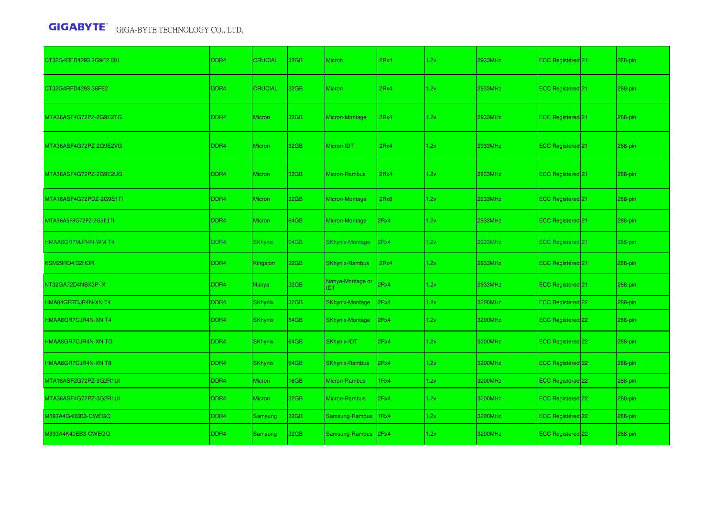| CT32G4RFD4293.2G9E2.001 | DDR <sub>4</sub> | <b>CRUCIAL</b> | 32GB | <b>Micron</b>                  | 2Rx4 | 1.2v | 2933MHz | ECC Registered <sup>[21]</sup> | 288-pin    |
|-------------------------|------------------|----------------|------|--------------------------------|------|------|---------|--------------------------------|------------|
| CT32G4RFD4293.36FE2     | DDR <sub>4</sub> | <b>CRUCIAL</b> | 32GB | <b>Micron</b>                  | 2Rx4 | 1.2v | 2933MHz | ECC Registered 21              | 288-pin    |
| MTA36ASF4G72PZ-2G9E2TG  | DDR <sub>4</sub> | <b>Micron</b>  | 32GB | Micron-Montage                 | 2Rx4 | 1.2v | 2933MHz | ECC Registered 21              | 288-pin    |
| MTA36ASF4G72PZ-2G9E2VG  | DDR <sub>4</sub> | <b>Micron</b>  | 32GB | Micron-IDT                     | 2Rx4 | 1.2v | 2933MHz | ECC Registered 21              | 288-pin    |
| MTA36ASF4G72PZ-2G9E2UG  | DDR <sub>4</sub> | <b>Micron</b>  | 32GB | Micron-Rambus                  | 2Rx4 | 1.2v | 2933MHz | ECC Registered 21              | 288-pin    |
| MTA18ASF4G72PDZ-2G9E1TI | DDR <sub>4</sub> | <b>Micron</b>  | 32GB | Micron-Montage                 | 2Rx8 | 1.2v | 2933MHz | ECC Registered 21              | 288-pin    |
| MTA36ASF8G72PZ-2G9E1TI  | DDR <sub>4</sub> | <b>Micron</b>  | 64GB | Micron-Montage                 | 2Rx4 | 1.2v | 2933MHz | ECC Registered 21              | 288-pin    |
| HMAA8GR7MJR4N-WM T4     | DDR4             | <b>SKhynix</b> | 64GB | <b>SKhynix-Montage</b>         | 2Rx4 | 1.2v | 2933MHz | <b>ECC Registered 21</b>       | $288$ -pin |
| KSM29RD4/32HDR          | DDR <sub>4</sub> | Kingston       | 32GB | <b>SKhynix-Rambus</b>          | 2Rx4 | 1.2v | 2933MHz | <b>ECC Registered</b> 21       | 288-pin    |
| NT32GA72D4NBX3P-IX      | DDR <sub>4</sub> | Nanya          | 32GB | Nanya-Montage or<br><b>IDT</b> | 2Rx4 | 1.2v | 2933MHz | ECC Registered 21              | 288-pin    |
| HMA84GR7DJR4N-XN T4     | DDR4             | <b>SKhynix</b> | 32GB | <b>SKhynix-Montage</b>         | 2Rx4 | 1.2v | 3200MHz | ECC Registered 22              | 288-pin    |
| HMAA8GR7CJR4N-XN T4     | DDR <sub>4</sub> | <b>SKhynix</b> | 64GB | <b>SKhynix-Montage</b>         | 2Rx4 | 1.2v | 3200MHz | ECC Registered 22              | 288-pin    |
| HMAA8GR7CJR4N-XN TG     | DDR <sub>4</sub> | <b>SKhynix</b> | 64GB | <b>SKhynix-IDT</b>             | 2Rx4 | 1.2v | 3200MHz | ECC Registered 22              | 288-pin    |
| HMAA8GR7CJR4N-XN T8     | DDR <sub>4</sub> | <b>SKhynix</b> | 64GB | <b>SKhynix-Rambus</b>          | 2Rx4 | 1.2v | 3200MHz | ECC Registered 22              | 288-pin    |
| MTA18ASF2G72PZ-3G2R1UI  | DDR <sub>4</sub> | <b>Micron</b>  | 16GB | Micron-Rambus                  | 1Rx4 | 1.2v | 3200MHz | ECC Registered 22              | $288$ -pin |
| MTA36ASF4G72PZ-3G2R1UI  | DDR <sub>4</sub> | <b>Micron</b>  | 32GB | Micron-Rambus                  | 2Rx4 | 1.2v | 3200MHz | ECC Registered 22              | $288$ -pin |
| M393A4G40BB3-CWEGQ      | DDR4             | Samsung        | 32GB | Samsung-Rambus                 | 1Rx4 | 1.2v | 3200MHz | ECC Registered 22              | 288-pin    |
| M393A4K40EB3-CWEGQ      | DDR <sub>4</sub> | Samsung        | 32GB | Samsung-Rambus 2Rx4            |      | 1.2v | 3200MHz | <b>ECC Registered</b> 22       | 288-pin    |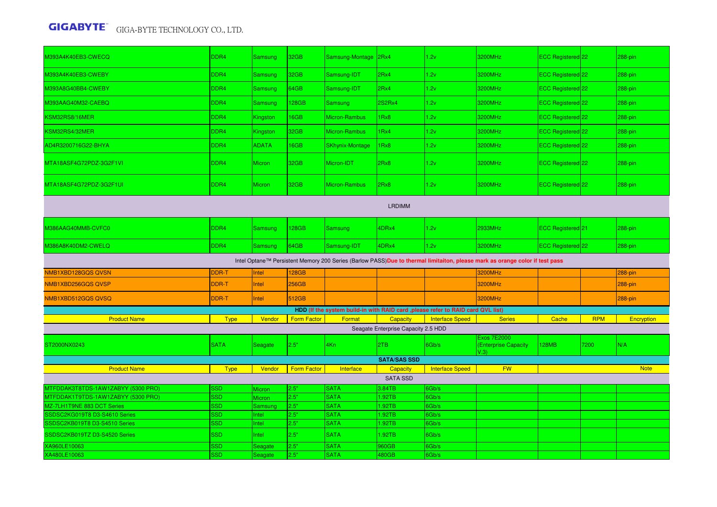| M393A4K40EB3-CWECQ                        | DDR4        | Samsung       | 32GB               | Samsung-Montage 2Rx4   |                                     | 1.2v                                                                             | 3200MHz                                                                                                                     | <b>ECC Registered</b> 22 |            | 288-pin     |
|-------------------------------------------|-------------|---------------|--------------------|------------------------|-------------------------------------|----------------------------------------------------------------------------------|-----------------------------------------------------------------------------------------------------------------------------|--------------------------|------------|-------------|
| M393A4K40EB3-CWEBY                        | DDR4        | Samsung       | 32GB               | Samsung-IDT            | 2Rx4                                | 1.2v                                                                             | 3200MHz                                                                                                                     | ECC Registered 22        |            | 288-pin     |
| M393A8G40BB4-CWEBY                        | DDR4        | Samsung       | 34GB               | Samsung-IDT            | 2Rx4                                | 1.2v                                                                             | 3200MHz                                                                                                                     | ECC Registered 22        |            | 288-pin     |
| M393AAG40M32-CAEBQ                        | DDR4        | Samsung       | <b>28GB</b>        | <b>Samsung</b>         | <b>2S2Rx4</b>                       | 1.2v                                                                             | 3200MHz                                                                                                                     | ECC Registered 22        |            | 288-pin     |
| KSM32RS8/16MER                            | DDR4        | Kingston      | <b>I6GB</b>        | Micron-Rambus          | 1Rx8                                | 1.2v                                                                             | 3200MHz                                                                                                                     | ECC Registered 22        |            | 288-pin     |
| <b><sm32rs4 32mer<="" b=""></sm32rs4></b> | DDR4        | Kingston      | 32GB               | Micron-Rambus          | 1Rx4                                | 1.2v                                                                             | 3200MHz                                                                                                                     | ECC Registered 22        |            | 288-pin     |
| AD4R3200716G22-BHYA                       | DDR4        | <b>ADATA</b>  | IGGB               | <b>SKhynix-Montage</b> | 1Rx8                                | 1.2v                                                                             | 3200MHz                                                                                                                     | ECC Registered 22        |            | 288-pin     |
| MTA18ASF4G72PDZ-3G2F1VI                   | DDR4        | Micron        | 32GB               | Micron-IDT             | 2Rx8                                | 1.2v                                                                             | 3200MHz                                                                                                                     | ECC Registered 22        |            | 288-pin     |
| MTA18ASF4G72PDZ-3G2F1UI                   | DDR4        | <b>Micron</b> | 32GB               | Micron-Rambus          | 2Rx8                                | 1.2v                                                                             | 3200MHz                                                                                                                     | <b>ECC Registered</b> 22 |            | 288-pin     |
| <b>LRDIMM</b>                             |             |               |                    |                        |                                     |                                                                                  |                                                                                                                             |                          |            |             |
| <b>M386AAG40MMB-CVFC0</b>                 | DDR4        | Samsung       | 128GB              | Samsung                | 4DRx4                               | 1.2v                                                                             | 2933MHz                                                                                                                     | <b>ECC Registered</b> 21 |            | 288-pin     |
| M386A8K40DM2-CWELQ                        | DDR4        | Samsung       | 64GB               | Samsung-IDT            | 4DRx4                               | 1.2v                                                                             | 3200MHz                                                                                                                     | ECC Registered 22        |            | $288$ -pin  |
|                                           |             |               |                    |                        |                                     |                                                                                  | Intel Optane™ Persistent Memory 200 Series (Barlow PASS)Due to thermal limitaiton, please mark as orange color if test pass |                          |            |             |
| NMB1XBD128GQS QVSN                        | DDR-T       | Intel         | <b>28GB</b>        |                        |                                     |                                                                                  | 3200MHz                                                                                                                     |                          |            | 288-pin     |
| NMB1XBD256GQS QVSP                        | DDR-T       | Intel         | 256GB              |                        |                                     |                                                                                  | 3200MHz                                                                                                                     |                          |            | 288-pin     |
| NMB1XBD512GQS QVSQ                        | DDR-T       | Intel         | 512GB              |                        |                                     |                                                                                  | 3200MHz                                                                                                                     |                          |            | 288-pin     |
|                                           |             |               |                    |                        |                                     | HDD (If the system build-in with RAID card , please refer to RAID card QVL list) |                                                                                                                             |                          |            |             |
| <b>Product Name</b>                       | <b>Type</b> | Vendor        | <b>Form Factor</b> | Format                 | Capacity                            | <b>Interface Speed</b>                                                           | <b>Series</b>                                                                                                               | Cache                    | <b>RPM</b> | Encryption  |
|                                           |             |               |                    |                        | Seagate Enterprise Capacity 2.5 HDD |                                                                                  |                                                                                                                             |                          |            |             |
| ST2000NX0243                              | <b>SATA</b> | Seagate       | 2.5"               |                        |                                     | 6Gb/s                                                                            | <b>Exos 7E2000</b>                                                                                                          | 128MB                    | 7200       | N/A         |
|                                           |             |               |                    | 4Kn                    | 2TB                                 |                                                                                  | (Enterprise Capacity<br>V.3)                                                                                                |                          |            |             |
|                                           |             |               |                    |                        | <b>SATA/SAS SSD</b>                 |                                                                                  |                                                                                                                             |                          |            |             |
| <b>Product Name</b>                       | <b>Type</b> | Vendor        | <b>Form Factor</b> | Interface              | Capacity                            | <b>Interface Speed</b>                                                           | <b>FW</b>                                                                                                                   |                          |            | <b>Note</b> |
|                                           |             |               |                    |                        | <b>SATA SSD</b>                     |                                                                                  |                                                                                                                             |                          |            |             |
| MTFDDAK3T8TDS-1AW1ZABYY (5300 PRO)        | SSD         | Micron        | 2.5"               | <b>SATA</b>            | 3.84TB                              | 6Gb/s                                                                            |                                                                                                                             |                          |            |             |
| MTFDDAK1T9TDS-1AW1ZABYY (5300 PRO)        | <b>SSD</b>  | Micron        | 2.5"               | <b>SATA</b>            | 1.92TB                              | 6Gb/s                                                                            |                                                                                                                             |                          |            |             |
| MZ-7LH1T9NE 883 DCT Series                | <b>SSD</b>  | Samsung       | 2.5"               | <b>SATA</b>            | 1.92TB                              | 6Gb/s                                                                            |                                                                                                                             |                          |            |             |
| SSDSC2KG019T8 D3-S4610 Series             | <b>SSD</b>  | Intel         | 2.5"               | <b>SATA</b>            | 1.92TB                              | 6Gb/s                                                                            |                                                                                                                             |                          |            |             |
| SSDSC2KB019T8 D3-S4510 Series             | <b>SSD</b>  | Intel         | 2.5"               | <b>SATA</b>            | 1.92TB                              | 6Gb/s                                                                            |                                                                                                                             |                          |            |             |
| SSDSC2KB019TZ D3-S4520 Series             | <b>SSD</b>  | Intel         | 2.5"               | <b>SATA</b>            | 1.92TB                              | 6Gb/s                                                                            |                                                                                                                             |                          |            |             |
| XA960LE10063                              | <b>SSD</b>  | Seagate       | 2.5"               | <b>SATA</b>            | 960GB                               | 6Gb/s                                                                            |                                                                                                                             |                          |            |             |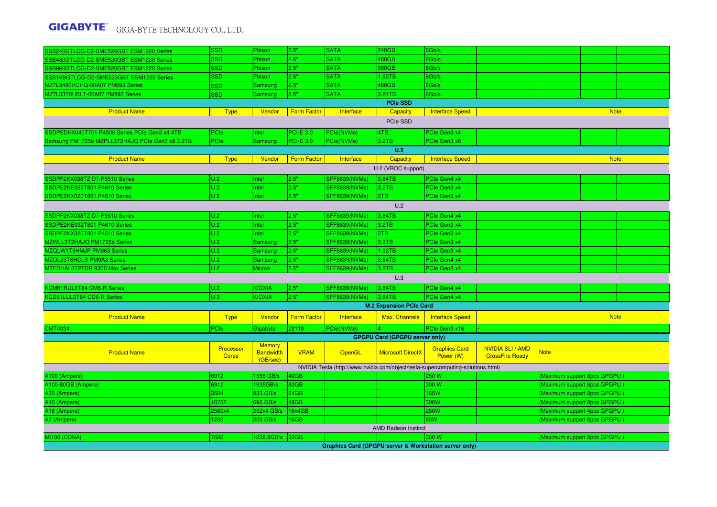| SSB240GTLCG-D2-SME520GBT ESM1220 Series         | <b>SSD</b>                | Phison                                        | 2.5"               | <b>SATA</b>          | 240GB                                 | 6Gb/s                                                                           |                                                   |                              |             |  |  |
|-------------------------------------------------|---------------------------|-----------------------------------------------|--------------------|----------------------|---------------------------------------|---------------------------------------------------------------------------------|---------------------------------------------------|------------------------------|-------------|--|--|
| SSB480GTLCG-D2-SME520GBT ESM1220 Series         | <b>SSD</b>                | Phison                                        | 2.5"               | <b>SATA</b>          | 480GB                                 | 6Gb/s                                                                           |                                                   |                              |             |  |  |
| SSB960GTLCG-D2-SME520GBT ESM1220 Series         | <b>SSD</b>                | Phison                                        | 2.5"               | <b>SATA</b>          | 960GB                                 | 6Gb/s                                                                           |                                                   |                              |             |  |  |
| SSB1K9GTLCG-D2-SME520GBT ESM1220 Series         | <b>SSD</b>                | Phison                                        | 2.5"               | <b>SATA</b>          | 1.92TB                                | 6Gb/s                                                                           |                                                   |                              |             |  |  |
| MZ7L3480HCHQ-00A07 PM893 Series                 | <b>SSD</b>                | Samsung                                       | 2.5"               | <b>SATA</b>          | 480GB                                 | 6Gb/s                                                                           |                                                   |                              |             |  |  |
| MZ7L33T8HBLT-00A07 PM893 Series                 | <b>SSD</b>                | Samsung                                       | 2.5"               | SATA                 | 3.84TB                                | 6Gb/s                                                                           |                                                   |                              |             |  |  |
|                                                 |                           |                                               |                    |                      | <b>PCIe SSD</b>                       |                                                                                 |                                                   |                              |             |  |  |
| <b>Product Name</b>                             | <b>Type</b>               | Vendor                                        | <b>Form Factor</b> | Interface            | Capacity                              | <b>Interface Speed</b>                                                          |                                                   |                              | <b>Note</b> |  |  |
| PCIe SSD                                        |                           |                                               |                    |                      |                                       |                                                                                 |                                                   |                              |             |  |  |
| SSDPEDKX040T701 P4500 Series PCIe Gen3 x4 4TB   | PCIe                      | Intel                                         | <b>PCI-E 3.0</b>   | PCle(NVMe)           | 4TB                                   | PCIe Gen3 x4                                                                    |                                                   |                              |             |  |  |
| Samsung PM1725b MZPLL3T2HAJQ PCIe Gen3 x8 3.2TB | PCIe                      | Samsung                                       | <b>PCI-E 3.0</b>   | PCIe(NVMe)           | 3.2TB                                 | PCIe Gen3 x8                                                                    |                                                   |                              |             |  |  |
| U.2                                             |                           |                                               |                    |                      |                                       |                                                                                 |                                                   |                              |             |  |  |
| <b>Product Name</b>                             | <b>Type</b>               | Vendor                                        | <b>Form Factor</b> | Interface            | Capacity                              | <b>Interface Speed</b>                                                          |                                                   |                              | <b>Note</b> |  |  |
| U.2 (VROC support)                              |                           |                                               |                    |                      |                                       |                                                                                 |                                                   |                              |             |  |  |
| SSDPF2KX038TZ D7-P5510 Series                   | U.2                       | Intel                                         | 2.5"               | SFF8639(NVMe)        | 3.84TB                                | PCIe Gen4 x4                                                                    |                                                   |                              |             |  |  |
| SSDPE2KE032T801 P4610 Series                    | U.2                       | Intel                                         | 2.5"               | SFF8639(NVMe)        | 3.2TB                                 | PCIe Gen3 x4                                                                    |                                                   |                              |             |  |  |
| SSDPE2KX020T801 P4510 Series                    | U.2                       | Intel                                         | 2.5"               | SFF8639(NVMe)        | 2TB                                   | PCIe Gen3 x4                                                                    |                                                   |                              |             |  |  |
| U.2                                             |                           |                                               |                    |                      |                                       |                                                                                 |                                                   |                              |             |  |  |
| SSDPF2KX038TZ D7-P5510 Series                   | U.2                       | Intel                                         | 2.5"               | <b>SFF8639(NVMe)</b> | 3.84TB                                | PCIe Gen4 x4                                                                    |                                                   |                              |             |  |  |
| SSDPE2KE032T801 P4610 Series                    | U.2                       | Intel                                         | 2.5"               | <b>SFF8639(NVMe)</b> | 3.2TB                                 | PCIe Gen3 x4                                                                    |                                                   |                              |             |  |  |
| SSDPE2KX020T801 P4510 Series                    | U.2                       | <b>Intel</b>                                  | 2.5"               | <b>SFF8639(NVMe)</b> | 2TB                                   | PCIe Gen3 x4                                                                    |                                                   |                              |             |  |  |
| MZWLL3T2HAJQ PM1725b Series                     | U.2                       | <b>Samsung</b>                                | 2.5"               | SFF8639(NVMe)        | 3.2TB                                 | PCIe Gen3 x4                                                                    |                                                   |                              |             |  |  |
| MZQLW1T9HMJP PM963 Series                       | U.2                       | Samsung                                       | 2.5"               | SFF8639(NVMe)        | 1.92TB                                | PCIe Gen3 x4                                                                    |                                                   |                              |             |  |  |
| MZQL23T8HCLS PM9A3 Series                       | U.2                       | <b>Samsung</b>                                | 2.5"               | <b>SFF8639(NVMe)</b> | 3.84TB                                | PCIe Gen4 x4                                                                    |                                                   |                              |             |  |  |
| MTFDHAL3T2TDR 9300 Max Series                   | U.2                       | Micron                                        | 2.5"               | SFF8639(NVMe)        | 3.2TB                                 | PCIe Gen3 x4                                                                    |                                                   |                              |             |  |  |
|                                                 |                           |                                               |                    |                      | U.3                                   |                                                                                 |                                                   |                              |             |  |  |
| KCM61RUL3T84 CM6-R Series                       | U.3                       | <b>KIOXIA</b>                                 | 2.5"               | SFF8639(NVMe)        | 3.84TB                                | PCIe Gen4 x4                                                                    |                                                   |                              |             |  |  |
| KCD61LUL3T84 CD6-R Series                       | U.3                       | <b>KIOXIA</b>                                 | 2.5"               | <b>SFF8639(NVMe)</b> | 3.84TB                                | PCIe Gen4 x4                                                                    |                                                   |                              |             |  |  |
|                                                 |                           |                                               |                    |                      | <b>M.2 Expansion PCIe Card</b>        |                                                                                 |                                                   |                              |             |  |  |
| <b>Product Name</b>                             | <b>Type</b>               | Vendor                                        | <b>Form Factor</b> | Interface            | Max. Channels                         | <b>Interface Speed</b>                                                          |                                                   |                              | <b>Note</b> |  |  |
| <b>CMT4034</b>                                  | PCIe                      | Gigabyte                                      | 22110              | PCIe(NVMe)           |                                       | PCIe Gen3 x16                                                                   |                                                   |                              |             |  |  |
|                                                 |                           |                                               |                    |                      | <b>GPGPU Card (GPGPU server only)</b> |                                                                                 |                                                   |                              |             |  |  |
| <b>Product Name</b>                             | Processer<br><b>Cores</b> | <b>Memory</b><br><b>Bandwidth</b><br>(GB/sec) | <b>VRAM</b>        | OpenGL               | <b>Microsoft DirectX</b>              | <b>Graphics Card</b><br>Power (W)                                               | <b>NVIDIA SLI / AMD</b><br><b>CrossFire Ready</b> | <b>Note</b>                  |             |  |  |
|                                                 |                           |                                               |                    |                      |                                       | NVIDIA Tesla (http://www.nvidia.com/object/tesla-supercomputing-solutions.html) |                                                   |                              |             |  |  |
| A100 (Ampere)                                   | 6912                      | 1555 GB/s                                     | 40GB               |                      |                                       | 250 W                                                                           |                                                   | (Maximum support 8pcs GPGPU) |             |  |  |
| A100-80GB (Ampere)                              | 6912                      | 1935GB/s                                      | 80GB               |                      |                                       | 300 W                                                                           |                                                   | (Maximum support 8pcs GPGPU) |             |  |  |
| A30 (Ampere)                                    | 3584                      | 933 GB/s                                      | 24GB               |                      |                                       | 165W                                                                            |                                                   | (Maximum support 8pcs GPGPU) |             |  |  |
| A40 (Ampere)                                    | 10752                     | 696 GB/s                                      | 48GB               |                      |                                       | 300W                                                                            |                                                   | (Maximum support 8pcs GPGPU) |             |  |  |
| A16 (Ampere)                                    | 2560x4                    | 232x4 GB/s                                    | 16x4GB             |                      |                                       | <b>250W</b>                                                                     |                                                   | (Maximum support 4pcs GPGPU) |             |  |  |
| A2 (Ampere)                                     | 1280                      | 200 GB/s                                      | 16GB               |                      |                                       | 60W                                                                             |                                                   | Maximum support 8pcs GPGPU   |             |  |  |
|                                                 |                           |                                               |                    |                      | <b>AMD Radeon Instinct</b>            |                                                                                 |                                                   |                              |             |  |  |
| <b>MI100 (CDNA)</b>                             | 7680                      | 1228.8GB/s                                    | 32GB               |                      |                                       | 300 W                                                                           |                                                   | (Maximum support 8pcs GPGPU) |             |  |  |
|                                                 |                           |                                               |                    |                      |                                       | <b>Graphics Card (GPGPU server &amp; Workstation server only)</b>               |                                                   |                              |             |  |  |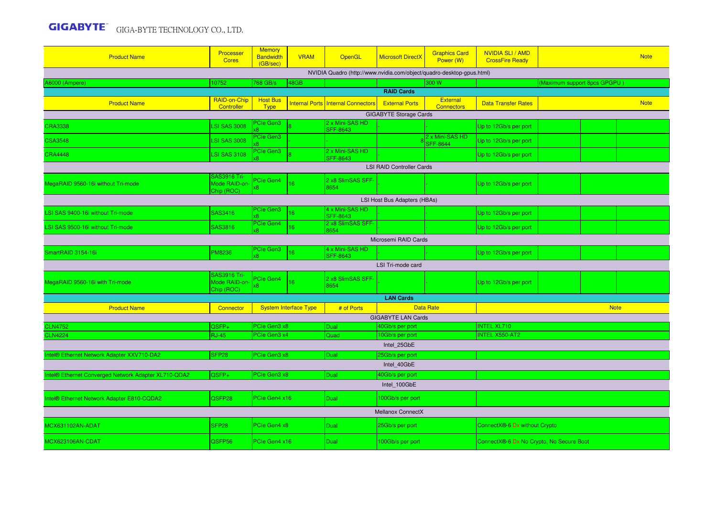| <b>Product Name</b>                                  | Processer<br><b>Cores</b>                          | <b>Memory</b><br><b>Bandwidth</b><br>(GB/sec) | <b>VRAM</b>                  | OpenGL                                                                | <b>Microsoft DirectX</b>      | <b>Graphics Card</b><br>Power (W)    | <b>NVIDIA SLI / AMD</b><br><b>CrossFire Ready</b> |                              | <b>Note</b> |  |  |
|------------------------------------------------------|----------------------------------------------------|-----------------------------------------------|------------------------------|-----------------------------------------------------------------------|-------------------------------|--------------------------------------|---------------------------------------------------|------------------------------|-------------|--|--|
|                                                      |                                                    |                                               |                              | NVIDIA Quadro (http://www.nvidia.com/object/quadro-desktop-gpus.html) |                               |                                      |                                                   |                              |             |  |  |
| 46000 (Ampere)                                       | 10752                                              | 768 GB/s                                      | 48GB                         |                                                                       |                               | 300 W                                |                                                   | (Maximum support 8pcs GPGPU) |             |  |  |
|                                                      |                                                    |                                               |                              |                                                                       | <b>RAID Cards</b>             |                                      |                                                   |                              |             |  |  |
| <b>Product Name</b>                                  | RAID-on-Chip<br>Controller                         | <b>Host Bus</b><br>Type                       | <b>Internal Ports</b>        | <b>Internal Connectors</b>                                            | <b>External Ports</b>         | <b>External</b><br><b>Connectors</b> | <b>Data Transfer Rates</b>                        |                              | <b>Note</b> |  |  |
|                                                      |                                                    |                                               |                              | 2 x Mini-SAS HD                                                       | <b>GIGABYTE Storage Cards</b> |                                      |                                                   |                              |             |  |  |
| <b>CRA3338</b>                                       | <b>LSI SAS 3008</b>                                | <b>Cle Gen3</b>                               |                              | <b>SFF-8643</b>                                                       |                               |                                      | Up to 12Gb/s per port                             |                              |             |  |  |
| <b>CSA3548</b>                                       | <b>LSI SAS 3008</b>                                | <b>PCIe Gen3</b>                              |                              |                                                                       |                               | 2 x Mini-SAS HD<br><b>SFF-8644</b>   | Up to 12Gb/s per port                             |                              |             |  |  |
| <b>CRA4448</b>                                       | <b>LSI SAS 3108</b>                                | PCIe Gen3                                     |                              | 2 x Mini-SAS HD<br><b>SFF-8643</b>                                    |                               |                                      | Up to 12Gb/s per port                             |                              |             |  |  |
| <b>LSI RAID Controller Cards</b>                     |                                                    |                                               |                              |                                                                       |                               |                                      |                                                   |                              |             |  |  |
|                                                      | <b>SAS3916 Tri-</b>                                | PCIe Gen4                                     |                              | 2 x8 SlimSAS SFF-                                                     |                               |                                      |                                                   |                              |             |  |  |
| MegaRAID 9560-16i without Tri-mode                   | Mode RAID-on-<br>Chip (ROC)                        | 8x                                            | 16                           | 8654                                                                  |                               |                                      | Up to 12Gb/s per port                             |                              |             |  |  |
| LSI Host Bus Adapters (HBAs)                         |                                                    |                                               |                              |                                                                       |                               |                                      |                                                   |                              |             |  |  |
| LSI SAS 9400-16i without Tri-mode                    | SAS3416                                            | PCIe Gen3                                     | 16                           | 4 x Mini-SAS HD                                                       |                               |                                      | Up to 12Gb/s per port                             |                              |             |  |  |
|                                                      |                                                    | х8<br>PCIe Gen4                               |                              | <b>SFF-8643</b><br>2 x8 SlimSAS SFF-                                  |                               |                                      |                                                   |                              |             |  |  |
| LSI SAS 9500-16i without Tri-mode                    | SAS3816                                            | άŘ.                                           | 16 <sup>1</sup>              | 8654                                                                  |                               |                                      | Up to 12Gb/s per port                             |                              |             |  |  |
| Microsemi RAID Cards                                 |                                                    |                                               |                              |                                                                       |                               |                                      |                                                   |                              |             |  |  |
| SmartRAID 3154-16i                                   | <b>PM8236</b>                                      | PCIe Gen3<br>x8                               | 16 <sup>°</sup>              | 4 x Mini-SAS HD<br><b>SFF-8643</b>                                    |                               |                                      | Up to 12Gb/s per port                             |                              |             |  |  |
|                                                      |                                                    |                                               |                              |                                                                       | LSI Tri-mode card             |                                      |                                                   |                              |             |  |  |
| MegaRAID 9560-16i with Tri-mode                      | <b>SAS3916 Tri-</b><br>Mode RAID-on-<br>Chip (ROC) | PCIe Gen4<br>x8                               | 16                           | 2 x8 SlimSAS SFF-<br>8654                                             |                               |                                      | Up to 12Gb/s per port                             |                              |             |  |  |
|                                                      |                                                    |                                               |                              |                                                                       | <b>LAN Cards</b>              |                                      |                                                   |                              |             |  |  |
| <b>Product Name</b>                                  | Connector                                          |                                               | <b>System Interface Type</b> | # of Ports                                                            | <b>Data Rate</b>              |                                      |                                                   | <b>Note</b>                  |             |  |  |
|                                                      |                                                    |                                               |                              |                                                                       | <b>GIGABYTE LAN Cards</b>     |                                      |                                                   |                              |             |  |  |
| <b>CLN4752</b>                                       | QSFP+                                              | PCIe Gen3 x8                                  |                              | Dual                                                                  | 40Gb/s per port               |                                      | <b>INTEL XL710</b>                                |                              |             |  |  |
| <b>CLN4224</b>                                       | <b>RJ-45</b>                                       | PCIe Gen3 x4                                  |                              | Quad                                                                  | 10Gb/s per port               |                                      | <b>INTEL X550-AT2</b>                             |                              |             |  |  |
|                                                      |                                                    |                                               |                              |                                                                       | Intel 25GbE                   |                                      |                                                   |                              |             |  |  |
| Intel® Ethernet Network Adapter XXV710-DA2           | SFP <sub>28</sub>                                  | PCIe Gen3 x8                                  |                              | Dual                                                                  | 25Gb/s per port               |                                      |                                                   |                              |             |  |  |
|                                                      |                                                    |                                               |                              |                                                                       | Intel 40GbE                   |                                      |                                                   |                              |             |  |  |
| Intel® Ethernet Converged Network Adapter XL710-QDA2 | QSFP+                                              | PCIe Gen3 x8                                  |                              | Dual                                                                  | 40Gb/s per port               |                                      |                                                   |                              |             |  |  |
|                                                      |                                                    |                                               |                              |                                                                       | Intel 100GbE                  |                                      |                                                   |                              |             |  |  |
| Intel® Ethernet Network Adapter E810-CQDA2           | QSFP28                                             | PCIe Gen4 x16                                 |                              | Dual                                                                  | 100Gb/s per port              |                                      |                                                   |                              |             |  |  |
|                                                      |                                                    |                                               |                              |                                                                       | Mellanox ConnectX             |                                      |                                                   |                              |             |  |  |
| MCX631102AN-ADAT                                     | SFP <sub>28</sub>                                  | PCIe Gen4 x8                                  |                              | Dual                                                                  | 25Gb/s per port               |                                      | ConnectX®-6 Dx without Crypto                     |                              |             |  |  |
| MCX623106AN-CDAT                                     | QSFP56                                             | PCIe Gen4 x16                                 |                              | <b>Dual</b>                                                           | 100Gb/s per port              |                                      | ConnectX®-6 Dx No Crypto, No Secure Boot          |                              |             |  |  |